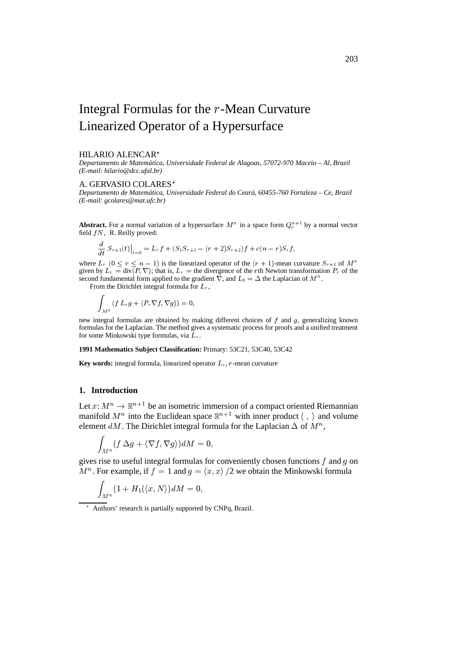# Integral Formulas for the <sup>r</sup>-Mean Curvature Linearized Operator of a Hypersurface

#### HILARIO ALENCAR?

*Departamento de Matematica, Universidade Federal de Alagoas, 57072-970 Maceio – Al, Brazil ´ (E-mail: hilario@dcc.ufal.br)*

## A. GERVASIO COLARES\*

*Departamento de Matematica, Universidade Federal do Cear ´ a, 60455-760 Fortaleza – Ce, Brazil ´ (E-mail: gcolares@mat.ufc.br)*

**Abstract.** For a normal variation of a hypersurface  $M^n$  in a space form  $Q_c^{n+1}$  by a normal vector field  $fN$ , R. Reilly proved:

$$
\frac{d}{dt} S_{r+1}(t) \Big|_{t=0} = L_r f + (S_1 S_{r+1} - (r+2) S_{r+2}) f + c(n-r) S_r f,
$$

where  $L_r$   $(0 \le r \le n - 1)$  is the linearized operator of the  $(r + 1)$ -mean curvature  $S_{r+1}$  of  $M^n$ given by  $\overline{L}_r = \text{div}(\overline{P}_r \nabla)$ ; that is,  $L_r =$  the divergence of the rth Newton transformation  $P_r$  of the second fundamental form applied to the gradient  $\nabla$ , and  $L_0 = \Delta$  the Laplacian of  $M^n$ .

From the Dirichlet integral formula for  $L_r$ ,

$$
\int_{M^n} (f L_r g + \langle P_r \nabla f, \nabla g \rangle) = 0,
$$

new integral formulas are obtained by making different choices of  $f$  and  $g$ , generalizing known formulas for the Laplacian. The method gives a systematic process for proofs and a unified treatment for some Minkowski type formulas, via  $L_r$ .

**1991 Mathematics Subject Classification:** Primary: 53C21, 53C40, 53C42

**Key words:** integral formula, linearized operator  $L_r$ ,  $r$ -mean curvature

### **1. Introduction**

Let  $x: M^n \to \mathbb{R}^{n+1}$  be an isometric immersion of a compact oriented Riemannian manifold  $M^n$  into the Euclidean space  $\mathbb{R}^{n+1}$  with inner product  $\langle , \rangle$  and volume element dM. The Dirichlet integral formula for the Laplacian  $\Delta$  of  $M^n$ ,

$$
\int_{M^n} (f\ \Delta g + \langle \nabla f, \nabla g \rangle) dM = 0,
$$

gives rise to useful integral formulas for conveniently chosen functions  $f$  and  $g$  on  $M^n$ . For example, if  $f = 1$  and  $g = \langle x, x \rangle / 2$  we obtain the Minkowski formula

$$
\int_{M^n} (1+H_1(\langle x,N\rangle) dM=0,
$$

? Authors' research is partially supported by CNPq, Brazil.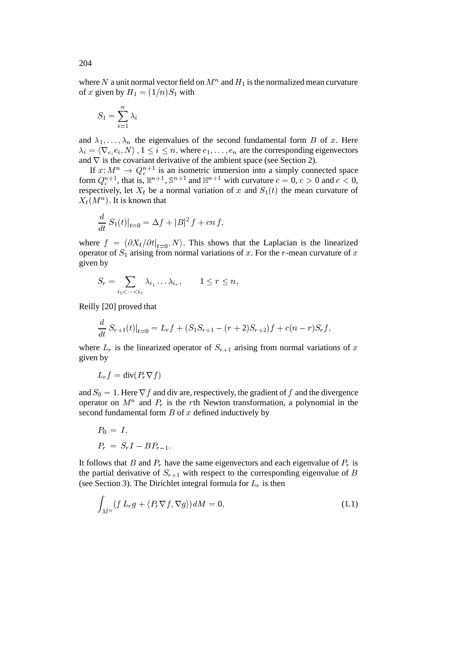where N a unit normal vector field on  $M^n$  and  $H_1$  is the normalized mean curvature of x given by  $H_1 = (1/n)S_1$  with

$$
S_1=\sum_{i=1}^n \lambda_i
$$

 $\overline{a}$ 

and  $\lambda_1,\ldots,\lambda_n$  the eigenvalues of the second fundamental form B of x. Here  $\lambda_i = \langle \nabla_{e_i} e_i, N \rangle$ ,  $1 \leq i \leq n$ , where  $e_1, \ldots, e_n$  are the corresponding eigenvectors and  $\nabla$  is the covariant derivative of the ambient space (see Section 2).

If  $x: M^n \to Q_c^{n+1}$  is an isometric immersion into a simply connected space form  $Q_c^{n+1}$ , that is,  $\mathbb{R}^{n+1}$ ,  $\mathbb{S}^{n+1}$  and  $\mathbb{H}^{n+1}$  with curvature  $c = 0, c > 0$  and  $c < 0$ , respectively, let  $X_t$  be a normal variation of x and  $S_1(t)$  the mean curvature of  $X_t(M^n)$ . It is known that

$$
\frac{d}{dt} S_1(t)|_{t=0} = \Delta f + |B|^2 f + cn f,
$$

where  $f = \langle \partial X_t / \partial t |_{t=0} , N \rangle$ . This shows that the Laplacian is the linearized operator of  $S_1$  arising from normal variations of x. For the r-mean curvature of x given by

$$
S_r = \sum_{i_1 < \dots < i_r} \lambda_{i_1} \dots \lambda_{i_r}, \qquad 1 \leq r \leq n,
$$

Reilly [20] proved that

$$
\frac{d}{dt} S_{r+1}(t)|_{t=0} = L_r f + (S_1 S_{r+1} - (r+2)S_{r+2})f + c(n-r)S_r f,
$$

where  $L_r$  is the linearized operator of  $S_{r+1}$  arising from normal variations of x given by

$$
L_r f = \text{div}(P_r \nabla f)
$$

and  $S_0 = 1$ . Here  $\nabla f$  and div are, respectively, the gradient of f and the divergence operator on  $M^n$  and  $P_r$  is the rth Newton transformation, a polynomial in the second fundamental form  $B$  of  $x$  defined inductively by

$$
P_0 = I,
$$
  

$$
P_r = S_r I - B P_{r-1}.
$$

It follows that B and  $P_r$  have the same eigenvectors and each eigenvalue of  $P_r$  is the partial derivative of  $S_{r+1}$  with respect to the corresponding eigenvalue of B (see Section 3). The Dirichlet integral formula for  $L_r$  is then

$$
\int_{M^n} (f L_r g + \langle P_r \nabla f, \nabla g \rangle) dM = 0,
$$
\n(1.1)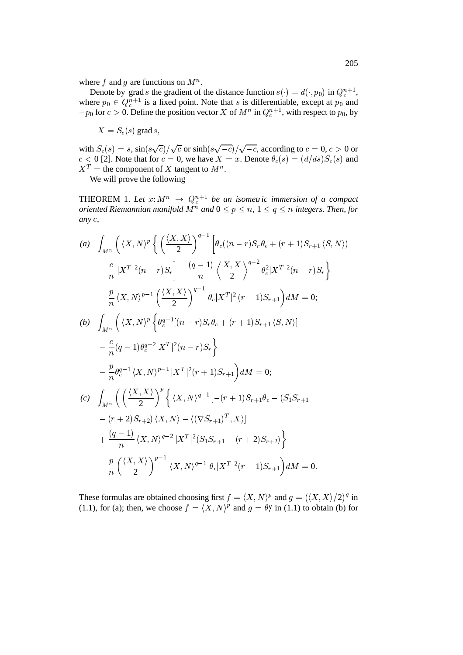where f and g are functions on  $M^n$ .

Denote by grad s the gradient of the distance function  $s(\cdot) = d(\cdot, p_0)$  in  $Q_c^{n+1}$ , where  $p_0 \in Q_c^{n+1}$  is a fixed point. Note that s is differentiable, except at  $p_0$  and  $-p_0$  for  $c > 0$ . Define the position vector X of  $M^n$  in  $Q_c^{n+1}$ , with respect to  $p_0$ , by

$$
X = S_c(s) \operatorname{grad} s,
$$

with  $S_c(s) = s$ ,  $\sin(s\sqrt{c})/\sqrt{c}$  or  $\sinh(s\sqrt{-c})/\sqrt{-c}$ , according to  $c = 0, c > 0$  or  $c < 0$  [2]. Note that for  $c = 0$ , we have  $X = x$ . Denote  $\theta_c(s) = (d/ds)S_c(s)$  and  $X^T$  = the component of X tangent to  $M^n$ .

We will prove the following

THEOREM 1. Let  $x: M^n \rightarrow Q_c^{n+1}$  be an isometric immersion of a compact *oriented Riemannian manifold*  $M^n$  and  $0 \leq p \leq n$ ,  $1 \leq q \leq n$  integers. Then, for *any* <sup>c</sup>*,*

(a) 
$$
\int_{M^n} \left( \langle X, N \rangle^p \left\{ \left( \frac{\langle X, X \rangle}{2} \right)^{q-1} \left[ \theta_c((n-r)S_r \theta_c + (r+1)S_{r+1} \langle S, N) \right) \right] - \frac{c}{n} |X^T|^2(n-r)S_r \right] + \frac{(q-1)}{n} \left\langle \frac{X, X}{2} \right\rangle^{q-2} \theta_c^2 |X^T|^2(n-r)S_r \right\}
$$
  
\n
$$
- \frac{p}{n} \langle X, N \rangle^{p-1} \left( \frac{\langle X, X \rangle}{2} \right)^{q-1} \theta_c |X^T|^2(r+1)S_{r+1} dx = 0;
$$
  
\n(b) 
$$
\int_{M^n} \left( \langle X, N \rangle^p \left\{ \theta_c^{q-1} [(n-r)S_r \theta_c + (r+1)S_{r+1} \langle S, N \rangle] \right.\right. \\ - \frac{c}{n} (q-1) \theta_c^{q-2} |X^T|^2(n-r)S_r \right\}
$$
  
\n
$$
- \frac{p}{n} \theta_c^{q-1} \langle X, N \rangle^{p-1} |X^T|^2(r+1)S_{r+1} dx = 0;
$$
  
\n(c) 
$$
\int_{M^n} \left( \left( \frac{\langle X, X \rangle}{2} \right)^p \left\{ \langle X, N \rangle^{q-1} [- (r+1)S_{r+1} \theta_c - (S_1 S_{r+1} - (r+2)S_{r+2}) \langle X, N \rangle - \langle (\nabla S_{r+1})^T, X \rangle] \right.\right. \\ + \frac{(q-1)}{n} \langle X, N \rangle^{q-2} |X^T|^2(S_1 S_{r+1} - (r+2)S_{r+2}) \right\}
$$
  
\n
$$
- \frac{p}{n} \left( \frac{\langle X, X \rangle}{2} \right)^{p-1} \langle X, N \rangle^{q-1} \theta_c |X^T|^2(r+1)S_{r+1} dx = 0.
$$

These formulas are obtained choosing first  $f = \langle X, N \rangle^p$  and  $g = (\langle X, X \rangle/2)^q$  in (1.1), for (a); then, we choose  $f = \langle X, N \rangle^p$  and  $g = \theta_c^q$  in (1.1) to obtain (b) for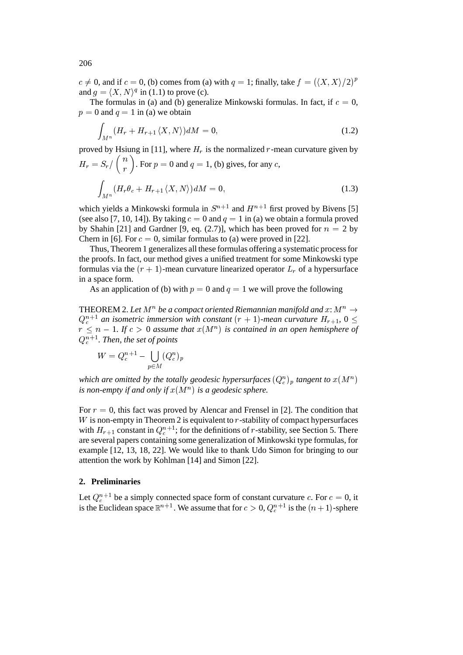$c \neq 0$ , and if  $c = 0$ , (b) comes from (a) with  $q = 1$ ; finally, take  $f = (\langle X, X \rangle/2)^p$ and  $g = \langle X, N \rangle^q$  in (1.1) to prove (c).

The formulas in (a) and (b) generalize Minkowski formulas. In fact, if  $c = 0$ ,  $p = 0$  and  $q = 1$  in (a) we obtain

$$
\int_{M^n} (H_r + H_{r+1} \langle X, N \rangle) dM = 0,\tag{1.2}
$$

proved by Hsiung in [11], where  $H_r$  is the normalized r-mean curvature given by  $H_r = S_r / \binom{n}{r}$ . For  $p =$  $\binom{n}{r}$ . For  $p = 0$  and  $q = 1$ , (b) gives, for any c,

$$
\int_{M^n} (H_r \theta_c + H_{r+1} \langle X, N \rangle) dM = 0,
$$
\n(1.3)

which yields a Minkowski formula in  $S^{n+1}$  and  $H^{n+1}$  first proved by Bivens [5] (see also [7, 10, 14]). By taking  $c = 0$  and  $q = 1$  in (a) we obtain a formula proved by Shahin [21] and Gardner [9, eq. (2.7)], which has been proved for  $n = 2$  by Chern in [6]. For  $c = 0$ , similar formulas to (a) were proved in [22].

Thus, Theorem 1 generalizes all these formulas offering a systematic process for the proofs. In fact, our method gives a unified treatment for some Minkowski type formulas via the  $(r + 1)$ -mean curvature linearized operator  $L<sub>r</sub>$  of a hypersurface in a space form.

As an application of (b) with  $p = 0$  and  $q = 1$  we will prove the following

THEOREM 2. Let  $M^n$  be a compact oriented Riemannian manifold and  $x\colon\! M^n \to$  $Q_c^{n+1}$  an isometric immersion with constant  $(r + 1)$ -mean curvature  $H_{r+1}$ ,  $0 \leq$  $r \leq n - 1$ . If  $c > 0$  assume that  $x(M^n)$  is contained in an open hemisphere of  $Q_c^{n+1}$ . Then, the set of points

$$
W=Q_c^{n+1}-\bigcup_{p\in M}(Q_c^n)_p
$$

which are omitted by the totally geodesic hypersurfaces  $(Q_c^n)_p$  tangent to  $x(M^n)$ *is non-empty if and only if*  $x(M^n)$  *is a geodesic sphere.* 

For  $r = 0$ , this fact was proved by Alencar and Frensel in [2]. The condition that  $W$  is non-empty in Theorem 2 is equivalent to  $r$ -stability of compact hypersurfaces with  $H_{r+1}$  constant in  $Q_c^{n+1}$ ; for the definitions of r-stability, see Section 5. There are several papers containing some generalization of Minkowski type formulas, for example [12, 13, 18, 22]. We would like to thank Udo Simon for bringing to our attention the work by Kohlman [14] and Simon [22].

## **2. Preliminaries**

Let  $Q_c^{n+1}$  be a simply connected space form of constant curvature c. For  $c = 0$ , it is the Euclidean space  $\mathbb{R}^{n+1}$ . We assume that for  $c>0$ ,  $Q_c^{n+1}$  is the  $(n+1)$ -sphere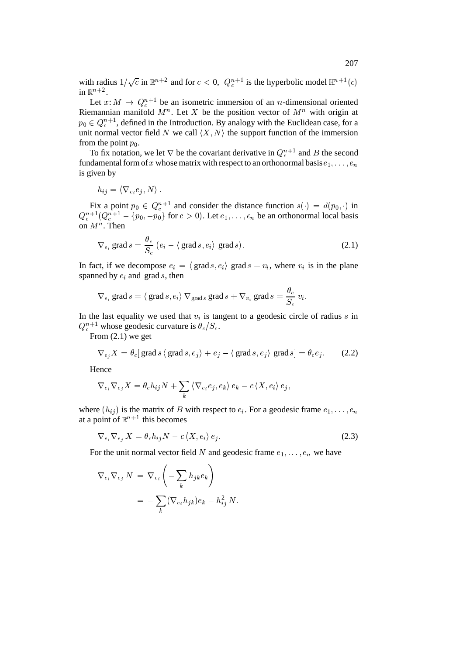with radius  $1/\sqrt{c}$  in  $\mathbb{R}^{n+2}$  and for  $c < 0$ ,  $Q_c^{n+1}$  is the hyperbolic model  $\mathbb{H}^{n+1}(c)$ in  $\mathbb{R}^{n+2}$ .

Let  $x: M \to Q_{c}^{n+1}$  be an isometric immersion of an *n*-dimensional oriented Riemannian manifold  $M^n$ . Let X be the position vector of  $M^n$  with origin at  $p_0 \in Q_c^{n+1}$ , defined in the Introduction. By analogy with the Euclidean case, for a unit normal vector field N we call  $\langle X, N \rangle$  the support function of the immersion from the point  $p_0$ .

To fix notation, we let  $\nabla$  be the covariant derivative in  $Q_c^{n+1}$  and B the second fundamental form of x whose matrix with respect to an orthonormal basis  $e_1, \ldots, e_n$ is given by

$$
h_{ij} = \langle \nabla_{e_i} e_j, N \rangle \, .
$$

Fix a point  $p_0 \in Q_c^{n+1}$  and consider the distance function  $s(\cdot) = d(p_0, \cdot)$  in  $Q_c^{n+1}(Q_c^{n+1} - \{p_0, -p_0\}$  for  $c > 0$ ). Let  $e_1, \ldots, e_n$  be an orthonormal local basis on  $M^n$ . Then on  $M^n$ . Then

$$
\nabla_{e_i} \text{ grad } s = \frac{\theta_c}{S_c} \left( e_i - \langle \text{ grad } s, e_i \rangle \text{ grad } s \right). \tag{2.1}
$$
\nIn fact, if we decompose  $e_i = \langle \text{ grad } s, e_i \rangle$  grad  $s + v_i$ , where  $v_i$  is in the plane

spanned by  $e_i$  and grad s, then

$$
\nabla_{e_i}
$$
 grad  $s = \langle \text{ grad } s, e_i \rangle \nabla_{\text{grad } s} \text{ grad } s + \nabla_{v_i}$  grad  $s = \frac{\theta_c}{S_c} v_i$ .  
In the last equality we used that  $v_i$  is tangent to a geodesic circle of radius  $s$  in

 $Q_c^{n+1}$  whose geodesic curvature is  $\theta_c/S_c$ .

From (2.1) we get

$$
\nabla_{e_j} X = \theta_c [\text{grad } s \langle \text{grad } s, e_j \rangle + e_j - \langle \text{grad } s, e_j \rangle \text{ grad } s] = \theta_c e_j.
$$
 (2.2)

Hence

$$
\nabla_{e_i} \nabla_{e_j} X = \theta_c h_{ij} N + \sum_k \langle \nabla_{e_i} e_j, e_k \rangle e_k - c \langle X, e_i \rangle e_j,
$$

where  $(h_{ij})$  is the matrix of B with respect to  $e_i$ . For a geodesic frame  $e_1, \ldots, e_n$ at a point of  $\mathbb{R}^{n+1}$  this becomes

$$
\nabla_{e_i} \nabla_{e_j} X = \theta_c h_{ij} N - c \langle X, e_i \rangle e_j. \tag{2.3}
$$

For the unit normal vector field N and geodesic frame  $e_1, \ldots, e_n$  we have

$$
\nabla_{e_i} \nabla_{e_j} N = \nabla_{e_i} \left( - \sum_k h_{jk} e_k \right)
$$
  
= 
$$
- \sum_k (\nabla_{e_i} h_{jk}) e_k - h_{ij}^2 N.
$$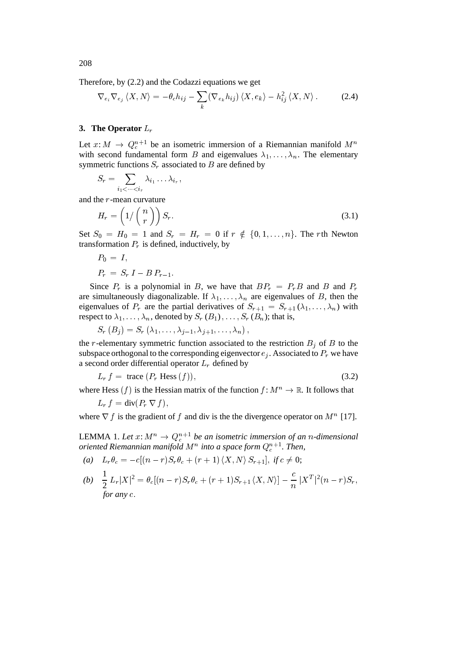Therefore, by (2.2) and the Codazzi equations we get

$$
\nabla_{e_i} \nabla_{e_j} \langle X, N \rangle = -\theta_c h_{ij} - \sum_k (\nabla_{e_k} h_{ij}) \langle X, e_k \rangle - h_{ij}^2 \langle X, N \rangle. \tag{2.4}
$$

# **3. The Operator** Lr

Let  $x: M \to Q_c^{n+1}$  be an isometric immersion of a Riemannian manifold  $M^n$ with second fundamental form B and eigenvalues  $\lambda_1, \ldots, \lambda_n$ . The elementary symmetric functions  $S_r$  associated to  $B$  are defined by

$$
S_r = \sum_{i_1 < \dots < i_r} \lambda_{i_1} \dots \lambda_{i_r},
$$

and the <sup>r</sup>-mean curvature

$$
H_r = \left(1/\binom{n}{r}\right)S_r. \tag{3.1}
$$

Set  $S_0 = H_0 = 1$  and  $S_r = H_r = 0$  if  $r \notin \{0, 1, \ldots, n\}$ . The rth Newton transformation  $P_r$  is defined, inductively, by

$$
P_0 = I,
$$
  
\n
$$
P_r = S_r I - B P_{r-1}.
$$

Since  $P_r$  is a polynomial in B, we have that  $BP_r = P_rB$  and B and  $P_r$ are simultaneously diagonalizable. If  $\lambda_1,\ldots,\lambda_n$  are eigenvalues of B, then the eigenvalues of  $P_r$  are the partial derivatives of  $S_{r+1} = S_{r+1}(\lambda_1,\ldots,\lambda_n)$  with respect to  $\lambda_1,\ldots,\lambda_n$ , denoted by  $S_r (B_1),\ldots,S_r (B_n)$ ; that is,

$$
S_{r}\left(B_{j}\right)=S_{r}\left(\lambda_{1},\ldots,\lambda_{j-1},\lambda_{j+1},\ldots,\lambda_{n}\right),
$$

the r-elementary symmetric function associated to the restriction  $B_i$  of B to the subspace orthogonal to the corresponding eigenvector  $e_i$ . Associated to  $P_r$  we have a second order differential operator  $L_r$  defined by

$$
L_r f = \text{trace } (P_r \text{ Hess } (f)), \tag{3.2}
$$

where Hess  $(f)$  is the Hessian matrix of the function  $f: M^n \to \mathbb{R}$ . It follows that

$$
L_r f = \text{div}(P_r \nabla f),
$$

where  $\nabla f$  is the gradient of f and div is the the divergence operator on  $M^n$  [17].

LEMMA 1. Let  $x: M^n \to Q_c^{n+1}$  be an isometric immersion of an *n*-dimensional *oriented Riemannian manifold*  $M^n$  *into a space form*  $Q_c^{n+1}$ *. Then,* 

(a) 
$$
L_r \theta_c = -c[(n-r)S_r \theta_c + (r+1) \langle X, N \rangle S_{r+1}], \text{ if } c \neq 0;
$$

(b) 
$$
\frac{1}{2} L_r |X|^2 = \theta_c [(n - r) S_r \theta_c + (r + 1) S_{r+1} \langle X, N \rangle] - \frac{c}{n} |X^T|^2 (n - r) S_r,
$$
  
for any c.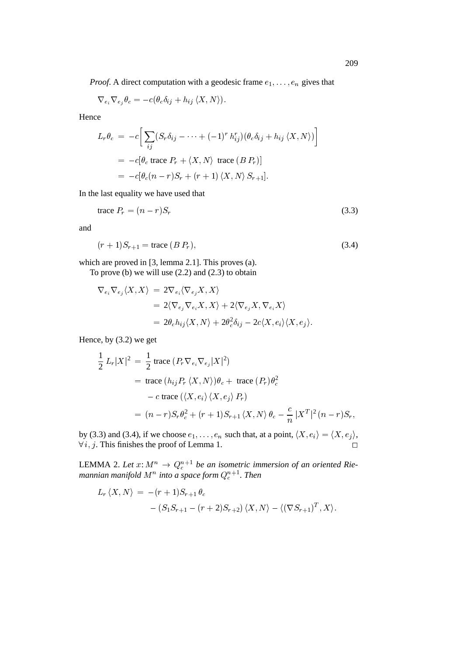*Proof.* A direct computation with a geodesic frame  $e_1, \ldots, e_n$  gives that

$$
\nabla_{e_i}\nabla_{e_j}\theta_c=-c(\theta_c\delta_{ij}+h_{ij}\left\langle X,N\right\rangle).
$$

Hence

$$
L_r \theta_c = -c \Big[ \sum_{ij} (S_r \delta_{ij} - \dots + (-1)^r h_{ij}^r) (\theta_c \delta_{ij} + h_{ij} \langle X, N \rangle) \Big]
$$
  
=  $-c[\theta_c \text{ trace } P_r + \langle X, N \rangle \text{ trace } (B P_r)]$   
=  $-c[\theta_c (n-r)S_r + (r+1) \langle X, N \rangle S_{r+1}].$ 

In the last equality we have used that

$$
\text{trace } P_r = (n - r)S_r \tag{3.3}
$$

and

$$
(r+1)S_{r+1} = \text{trace } (BP_r),\tag{3.4}
$$

which are proved in [3, lemma 2.1]. This proves (a).

To prove (b) we will use  $(2.2)$  and  $(2.3)$  to obtain

$$
\nabla_{e_i} \nabla_{e_j} \langle X, X \rangle = 2 \nabla_{e_i} \langle \nabla_{e_j} X, X \rangle
$$
  
= 2\langle \nabla\_{e\_j} \nabla\_{e\_i} X, X \rangle + 2 \langle \nabla\_{e\_j} X, \nabla\_{e\_i} X \rangle  
= 2\theta\_c h\_{ij} \langle X, N \rangle + 2\theta\_c^2 \delta\_{ij} - 2c \langle X, e\_i \rangle \langle X, e\_j \rangle.

Hence, by (3.2) we get

$$
\frac{1}{2} L_r |X|^2 = \frac{1}{2} \operatorname{trace} (P_r \nabla_{e_i} \nabla_{e_j} |X|^2)
$$
  
= trace  $(h_{ij} P_r \langle X, N \rangle) \theta_c + \operatorname{trace} (P_r) \theta_c^2$   
- c trace  $(\langle X, e_i \rangle \langle X, e_j \rangle P_r)$   
=  $(n - r) S_r \theta_c^2 + (r + 1) S_{r+1} \langle X, N \rangle \theta_c - \frac{c}{n} |X^T|^2 (n - r) S_r,$ 

by (3.3) and (3.4), if we choose  $e_1, \ldots, e_n$  such that, at a point,  $\langle X, e_i \rangle = \langle X, e_j \rangle$ ,  $\forall i, j$ . This finishes the proof of Lemma 1.

LEMMA 2. Let  $x: M^n \to Q_c^{n+1}$  be an isometric immersion of an oriented Riemannian manifold  $M^n$  into a space form  $Q_c^{n+1}$ . Then

$$
L_r \langle X, N \rangle = -(r+1)S_{r+1} \theta_c
$$
  
 
$$
- (S_1 S_{r+1} - (r+2)S_{r+2}) \langle X, N \rangle - \langle (\nabla S_{r+1})^T, X \rangle.
$$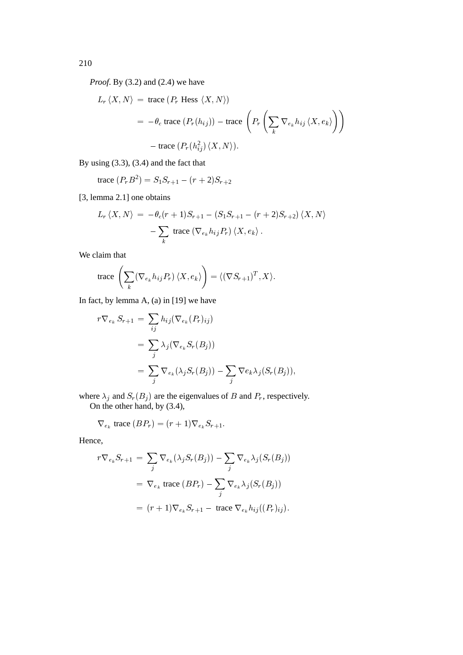*Proof.* By (3.2) and (2.4) we have

$$
L_r \langle X, N \rangle = \text{trace} \left( P_r \text{ Hess} \langle X, N \rangle \right)
$$
  
=  $-\theta_c \text{ trace} \left( P_r(h_{ij}) \right) - \text{trace} \left( P_r \left( \sum_k \nabla_{e_k} h_{ij} \langle X, e_k \rangle \right) \right)$   
-  $\text{trace} \left( P_r(h_{ij}^2) \langle X, N \rangle \right).$ 

By using (3.3), (3.4) and the fact that

trace 
$$
(P_r B^2) = S_1 S_{r+1} - (r+2) S_{r+2}
$$

[3, lemma 2.1] one obtains

$$
L_r \langle X, N \rangle = -\theta_c (r+1) S_{r+1} - (S_1 S_{r+1} - (r+2) S_{r+2}) \langle X, N \rangle
$$

$$
- \sum_k \text{ trace } (\nabla_{e_k} h_{ij} P_r) \langle X, e_k \rangle.
$$

We claim that

trace 
$$
\left(\sum_{k} (\nabla_{e_k} h_{ij} P_r) \langle X, e_k \rangle \right) = \langle (\nabla S_{r+1})^T, X \rangle
$$
.

In fact, by lemma A, (a) in [19] we have

$$
r \nabla_{e_k} S_{r+1} = \sum_{ij} h_{ij} (\nabla_{e_k} (P_r)_{ij})
$$
  
= 
$$
\sum_j \lambda_j (\nabla_{e_k} S_r(B_j))
$$
  
= 
$$
\sum_j \nabla_{e_k} (\lambda_j S_r(B_j)) - \sum_j \nabla e_k \lambda_j (S_r(B_j)),
$$

where  $\lambda_j$  and  $S_r(B_j)$  are the eigenvalues of B and  $P_r$ , respectively. On the other hand, by  $(3.4)$ ,

$$
\nabla_{e_k}
$$
trace  $(BP_r) = (r+1)\nabla_{e_k}S_{r+1}$ .

Hence,

$$
r \nabla_{e_k} S_{r+1} = \sum_j \nabla_{e_k} (\lambda_j S_r(B_j)) - \sum_j \nabla_{e_k} \lambda_j (S_r(B_j))
$$
  
=  $\nabla_{e_k}$  trace  $(BP_r) - \sum_j \nabla_{e_k} \lambda_j (S_r(B_j))$   
=  $(r+1) \nabla_{e_k} S_{r+1} - \text{trace } \nabla_{e_k} h_{ij} ((P_r)_{ij}).$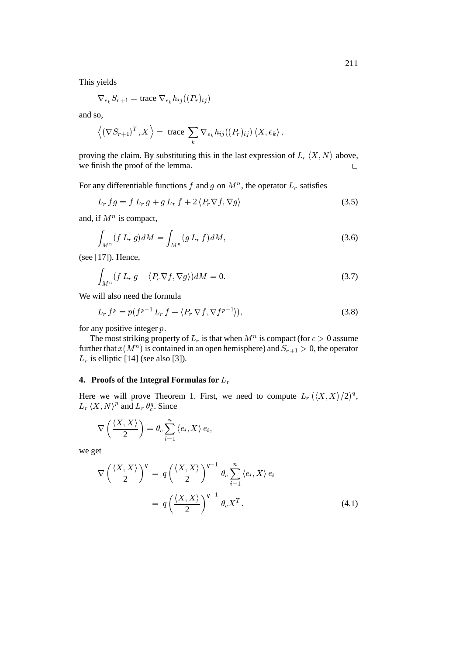This yields

$$
\nabla_{e_k} S_{r+1} = \text{trace } \nabla_{e_k} h_{ij}((P_r)_{ij})
$$

and so,

$$
\langle (\nabla S_{r+1})^T, X \rangle = \text{trace } \sum_k \nabla_{e_k} h_{ij}((P_r)_{ij}) \langle X, e_k \rangle,
$$

proving the claim. By substituting this in the last expression of  $L_r\langle X,N\rangle$  above, we finish the proof of the lemma.  $\Box$ 

For any differentiable functions f and g on  $M^n$ , the operator  $L_r$  satisfies

$$
L_r fg = f L_r g + g L_r f + 2 \langle P_r \nabla f, \nabla g \rangle \tag{3.5}
$$

and, if  $M^n$  is compact,

$$
\int_{M^n} (f L_r g) dM = \int_{M^n} (g L_r f) dM,
$$
\n(3.6)

(see [17]). Hence,

$$
\int_{M^n} (f L_r g + \langle P_r \nabla f, \nabla g \rangle) dM = 0.
$$
\n(3.7)

We will also need the formula

$$
L_r f^p = p(f^{p-1} L_r f + \langle P_r \nabla f, \nabla f^{p-1} \rangle), \tag{3.8}
$$

for any positive integer  $p$ .

The most striking property of  $L_r$  is that when  $M^n$  is compact (for  $c>0$  assume further that  $x(M^n)$  is contained in an open hemisphere) and  $S_{r+1} > 0$ , the operator  $L_r$  is elliptic [14] (see also [3]).

# **4. Proofs of the Integral Formulas for** Lr

Here we will prove Theorem 1. First, we need to compute  $L_r \left( \langle X, X \rangle / 2 \right)^q$ ,  $L_r \langle X, N \rangle^p$  and  $L_r \theta_c^q$ . Since

$$
\nabla \left( \frac{\langle X, X \rangle}{2} \right) = \theta_c \sum_{i=1}^n \langle e_i, X \rangle e_i,
$$

we get

$$
\nabla \left( \frac{\langle X, X \rangle}{2} \right)^q = q \left( \frac{\langle X, X \rangle}{2} \right)^{q-1} \theta_c \sum_{i=1}^n \langle e_i, X \rangle e_i
$$

$$
= q \left( \frac{\langle X, X \rangle}{2} \right)^{q-1} \theta_c X^T.
$$
(4.1)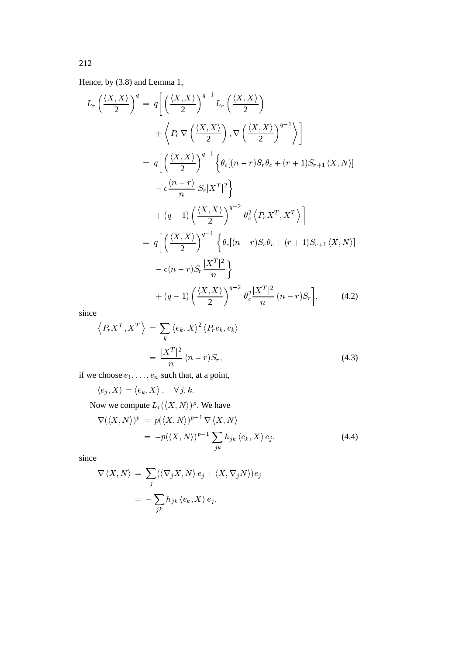Hence, by (3.8) and Lemma 1,

$$
L_r\left(\frac{\langle X, X\rangle}{2}\right)^q = q\left[\left(\frac{\langle X, X\rangle}{2}\right)^{q-1} L_r\left(\frac{\langle X, X\rangle}{2}\right)
$$
  
+ 
$$
\left\langle P_r \nabla \left(\frac{\langle X, X\rangle}{2}\right), \nabla \left(\frac{\langle X, X\rangle}{2}\right)^{q-1} \right\rangle\right]
$$
  
= 
$$
q\left[\left(\frac{\langle X, X\rangle}{2}\right)^{q-1} \left\{\theta_c[(n-r)S_r\theta_c + (r+1)S_{r+1} \langle X, N\rangle] - c\frac{(n-r)}{n} S_r |X^T|^2\right\}
$$
  
+ 
$$
(q-1)\left(\frac{\langle X, X\rangle}{2}\right)^{q-2} \theta_c^2 \left\langle P_r X^T, X^T \right\rangle\right]
$$
  
= 
$$
q\left[\left(\frac{\langle X, X\rangle}{2}\right)^{q-1} \left\{\theta_c[(n-r)S_r\theta_c + (r+1)S_{r+1} \langle X, N\rangle] - c(n-r)S_r \frac{|X^T|^2}{n}\right\}
$$
  
+ 
$$
(q-1)\left(\frac{\langle X, X\rangle}{2}\right)^{q-2} \theta_c^2 \frac{|X^T|^2}{n} (n-r)S_r\right], \qquad (4.2)
$$

since

$$
\left\langle P_r X^T, X^T \right\rangle = \sum_k \left\langle e_k, X \right\rangle^2 \left\langle P_r e_k, e_k \right\rangle
$$

$$
= \frac{|X^T|^2}{n} (n-r) S_r,
$$
(4.3)

if we choose  $e_1, \ldots, e_n$  such that, at a point,

 $\langle e_j, X \rangle = \langle e_k, X \rangle$ ,  $\forall j, k$ .

Now we compute  $L_r(\langle X, N \rangle)^p$ . We have

$$
\nabla (\langle X, N \rangle)^p = p(\langle X, N \rangle)^{p-1} \nabla \langle X, N \rangle
$$
  
=  $-p(\langle X, N \rangle)^{p-1} \sum_{jk} h_{jk} \langle e_k, X \rangle e_j,$  (4.4)

since

$$
\nabla \langle X, N \rangle = \sum_{j} (\langle \nabla_j X, N \rangle e_j + \langle X, \nabla_j N \rangle) e_j
$$
  
= 
$$
-\sum_{jk} h_{jk} \langle e_k, X \rangle e_j.
$$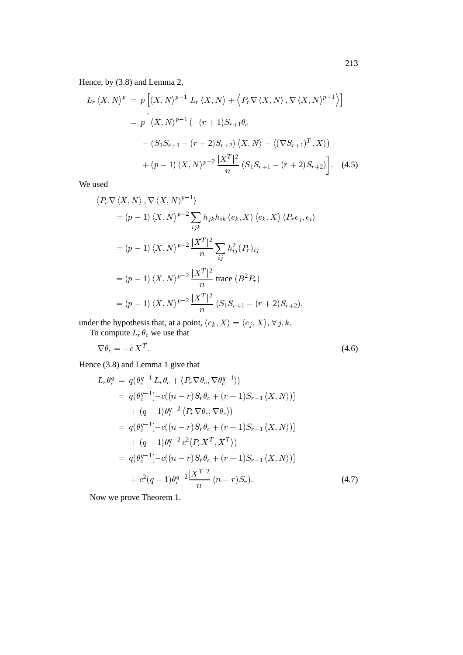Hence, by (3.8) and Lemma 2,

$$
L_r \langle X, N \rangle^p = p \left[ \langle X, N \rangle^{p-1} L_r \langle X, N \rangle + \langle P_r \nabla \langle X, N \rangle, \nabla \langle X, N \rangle^{p-1} \rangle \right]
$$
  
=  $p \left[ \langle X, N \rangle^{p-1} (-(r+1)S_{r+1}\theta_c$   
 $- (S_1 S_{r+1} - (r+2)S_{r+2}) \langle X, N \rangle - \langle (\nabla S_{r+1})^T, X \rangle \right)$   
+  $(p-1) \langle X, N \rangle^{p-2} \frac{|X^T|^2}{n} (S_1 S_{r+1} - (r+2)S_{r+2}) \right].$  (4.5)

We used

$$
\langle P_r \nabla \langle X, N \rangle, \nabla \langle X, N \rangle^{p-1} \rangle
$$
  
=  $(p - 1) \langle X, N \rangle^{p-2} \sum_{ijk} h_{jk} h_{ik} \langle e_k, X \rangle \langle e_k, X \rangle \langle P_r e_j, e_i \rangle$   
=  $(p - 1) \langle X, N \rangle^{p-2} \frac{|X^T|^2}{n} \sum_{ij} h_{ij}^2(P_r)_{ij}$   
=  $(p - 1) \langle X, N \rangle^{p-2} \frac{|X^T|^2}{n} \text{ trace } (B^2 P_r)$   
=  $(p - 1) \langle X, N \rangle^{p-2} \frac{|X^T|^2}{n} (S_1 S_{r+1} - (r+2) S_{r+2}),$ 

under the hypothesis that, at a point,  $\langle e_k, X \rangle = \langle e_j, X \rangle$ ,  $\forall j, k$ .

To compute  $L_r \theta_c$  we use that

$$
\nabla \theta_c = -c X^T. \tag{4.6}
$$

Hence (3.8) and Lemma 1 give that

$$
L_r \theta_c^q = q(\theta_c^{q-1} L_r \theta_c + \langle P_r \nabla \theta_c, \nabla \theta_c^{q-1} \rangle)
$$
  
\n
$$
= q(\theta_c^{q-1}[-c((n-r)S_r \theta_c + (r+1)S_{r+1} \langle X, N \rangle)]
$$
  
\n
$$
+ (q-1)\theta_c^{q-2} \langle P_r \nabla \theta_c, \nabla \theta_c \rangle)
$$
  
\n
$$
= q(\theta_c^{q-1}[-c((n-r)S_r \theta_c + (r+1)S_{r+1} \langle X, N \rangle)]
$$
  
\n
$$
+ (q-1)\theta_c^{q-2} c^2 \langle P_r X^T, X^T \rangle)
$$
  
\n
$$
= q(\theta_c^{q-1}[-c((n-r)S_r \theta_c + (r+1)S_{r+1} \langle X, N \rangle)]
$$
  
\n
$$
+ c^2(q-1)\theta_c^{q-2} \frac{|X^T|^2}{n} (n-r)S_r).
$$
 (4.7)

Now we prove Theorem 1.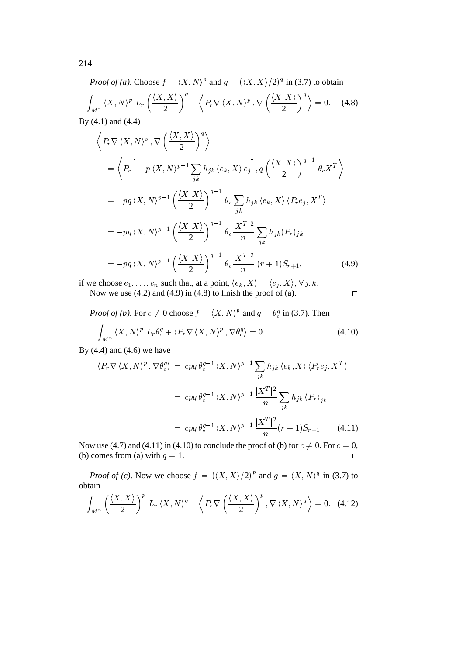*Proof of (a)*. Choose  $f = \langle X, N \rangle^p$  and  $g = (\langle X, X \rangle/2)^q$  in (3.7) to obtain  $\int_{M^n} \langle X, N \rangle^p \, L_r \left( \frac{\langle X, X \rangle}{2} \right)^q + \left\langle F \right\rangle$ <sup>+</sup>  $\mathbf{r}$  $P_r V \langle X, N \rangle^r$ ,  $V \left( \frac{V}{r^2} \right)$  $\left(\frac{\langle X, X \rangle}{2}\right)^q$  = 0. (4.8) By (4.1) and (4.4)

$$
\left\langle P_r \nabla \langle X, N \rangle^p, \nabla \left( \frac{\langle X, X \rangle}{2} \right)^q \right\rangle
$$
  
=\left\langle P\_r \left[ -p \langle X, N \rangle^{p-1} \sum\_{jk} h\_{jk} \langle e\_k, X \rangle e\_j \right], q \left( \frac{\langle X, X \rangle}{2} \right)^{q-1} \theta\_c X^T \right\rangle  
=-pq \langle X, N \rangle^{p-1} \left( \frac{\langle X, X \rangle}{2} \right)^{q-1} \theta\_c \sum\_{jk} h\_{jk} \langle e\_k, X \rangle \langle P\_r e\_j, X^T \rangle  
=-pq \langle X, N \rangle^{p-1} \left( \frac{\langle X, X \rangle}{2} \right)^{q-1} \theta\_c \frac{|X^T|^2}{n} \sum\_{jk} h\_{jk} (P\_r)\_{jk}  
=-pq \langle X, N \rangle^{p-1} \left( \frac{\langle X, X \rangle}{2} \right)^{q-1} \theta\_c \frac{|X^T|^2}{n} (r+1) S\_{r+1}, \tag{4.9}

if we choose  $e_1, \ldots, e_n$  such that, at a point,  $\langle e_k, X \rangle = \langle e_j, X \rangle$ ,  $\forall j, k$ . Now we use (4.2) and (4.9) in (4.8) to finish the proof of (a).  $\Box$ 

*Proof of (b)*. For  $c \neq 0$  choose  $f = \langle X, N \rangle^p$  and  $g = \theta_c^q$  in (3.7). Then

$$
\int_{M^n} \langle X, N \rangle^p L_r \theta_c^q + \langle P_r \nabla \langle X, N \rangle^p, \nabla \theta_c^q \rangle = 0.
$$
\n(4.10)\n  
\n(4.11) and (4.6) we have

By  $(4.4)$  and  $(4.6)$  we have

$$
\langle P_r \nabla \langle X, N \rangle^p, \nabla \theta_c^q \rangle = c p q \theta_c^{q-1} \langle X, N \rangle^{p-1} \sum_{jk} h_{jk} \langle e_k, X \rangle \langle P_r e_j, X^T \rangle
$$
  

$$
= c p q \theta_c^{q-1} \langle X, N \rangle^{p-1} \frac{|X^T|^2}{n} \sum_{jk} h_{jk} \langle P_r \rangle_{jk}
$$
  

$$
= c p q \theta_c^{q-1} \langle X, N \rangle^{p-1} \frac{|X^T|^2}{n} (r+1) S_{r+1}. \tag{4.11}
$$

Now use (4.7) and (4.11) in (4.10) to conclude the proof of (b) for  $c \neq 0$ . For  $c = 0$ , (b) comes from (a) with  $q = 1$ .

*Proof of (c)*. Now we choose  $f = (\langle X, X \rangle/2)^p$  and  $g = \langle X, N \rangle^q$  in (3.7) to obtain

$$
\int_{M^n} \left( \frac{\langle X, X \rangle}{2} \right)^p L_r \langle X, N \rangle^q + \left\langle P_r \nabla \left( \frac{\langle X, X \rangle}{2} \right)^p, \nabla \langle X, N \rangle^q \right\rangle = 0. \quad (4.12)
$$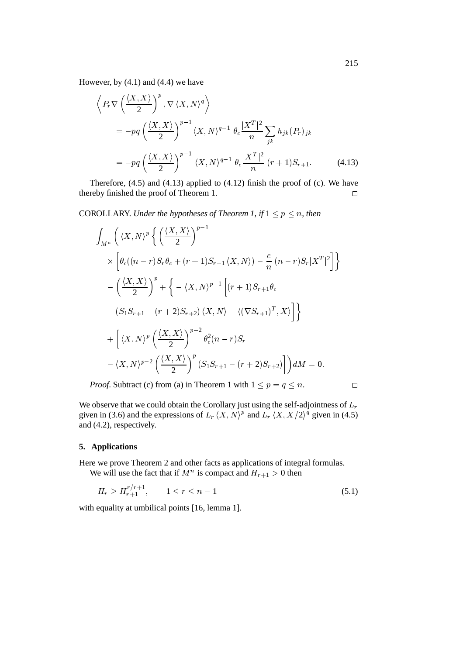However, by  $(4.1)$  and  $(4.4)$  we have

$$
\left\langle P_r \nabla \left( \frac{\langle X, X \rangle}{2} \right)^p, \nabla \langle X, N \rangle^q \right\rangle
$$
  
=  $-pq \left( \frac{\langle X, X \rangle}{2} \right)^{p-1} \langle X, N \rangle^{q-1} \theta_c \frac{|X^T|^2}{n} \sum_{jk} h_{jk} (P_r)_{jk}$   
=  $-pq \left( \frac{\langle X, X \rangle}{2} \right)^{p-1} \langle X, N \rangle^{q-1} \theta_c \frac{|X^T|^2}{n} (r+1) S_{r+1}.$  (4.13)

Therefore,  $(4.5)$  and  $(4.13)$  applied to  $(4.12)$  finish the proof of  $(c)$ . We have thereby finished the proof of Theorem 1.  $\Box$ 

COROLLARY. *Under the hypotheses of Theorem 1, if*  $1 \le p \le n$ *, then* 

$$
\int_{M^n} \left( \langle X, N \rangle^p \left\{ \left( \frac{\langle X, X \rangle}{2} \right)^{p-1} \right\} \times \left[ \theta_c((n-r)S_r \theta_c + (r+1)S_{r+1} \langle X, N \rangle) - \frac{c}{n} (n-r)S_r |X^T|^2 \right] \right\}
$$
\n
$$
- \left( \frac{\langle X, X \rangle}{2} \right)^p + \left\{ - \langle X, N \rangle^{p-1} \left[ (r+1)S_{r+1} \theta_c \right] \right\}
$$
\n
$$
- (S_1 S_{r+1} - (r+2)S_{r+2}) \langle X, N \rangle - \langle (\nabla S_{r+1})^T, X \rangle \right] \}
$$
\n
$$
+ \left[ \langle X, N \rangle^p \left( \frac{\langle X, X \rangle}{2} \right)^{p-2} \theta_c^2 (n-r) S_r \right]
$$
\n
$$
- \langle X, N \rangle^{p-2} \left( \frac{\langle X, X \rangle}{2} \right)^p (S_1 S_{r+1} - (r+2)S_{r+2}) \right] dM = 0.
$$
\n*Proof.* Subtract (c) from (a) in Theorem 1 with  $1 \leq p = q \leq n$ .

We observe that we could obtain the Corollary just using the self-adjointness of  $L_r$ given in (3.6) and the expressions of  $L_r \langle X, N \rangle^p$  and  $L_r \langle X, X/2 \rangle^q$  given in (4.5) and (4.2), respectively.

# **5. Applications**

Here we prove Theorem 2 and other facts as applications of integral formulas. We will use the fact that if  $M^n$  is compact and  $H_{r+1} > 0$  then

$$
H_r \ge H_{r+1}^{r/r+1}, \qquad 1 \le r \le n-1 \tag{5.1}
$$

with equality at umbilical points [16, lemma 1].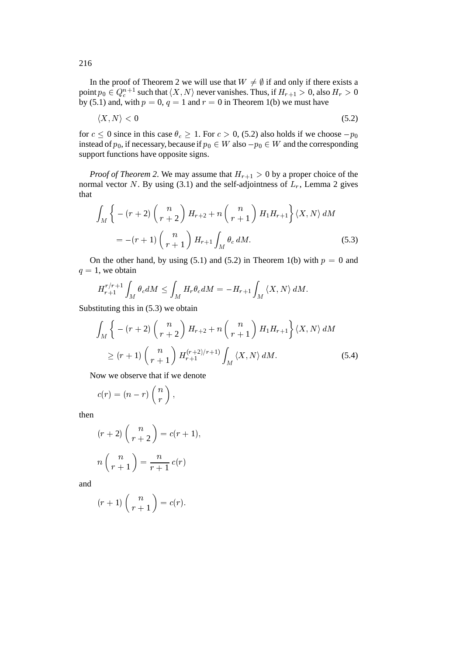In the proof of Theorem 2 we will use that  $W \neq \emptyset$  if and only if there exists a point  $p_0 \in Q_c^{n+1}$  such that  $\langle X, N \rangle$  never vanishes. Thus, if  $H_{r+1} > 0$ , also  $H_r > 0$ by (5.1) and, with  $p = 0$ ,  $q = 1$  and  $r = 0$  in Theorem 1(b) we must have

$$
\langle X, N \rangle < 0 \tag{5.2}
$$

for  $c \le 0$  since in this case  $\theta_c \ge 1$ . For  $c > 0$ , (5.2) also holds if we choose  $-p_0$ instead of  $p_0$ , if necessary, because if  $p_0 \in W$  also  $-p_0 \in W$  and the corresponding support functions have opposite signs.

*Proof of Theorem 2.* We may assume that  $H_{r+1} > 0$  by a proper choice of the normal vector N. By using (3.1) and the self-adjointness of  $L_r$ , Lemma 2 gives that

$$
\int_{M} \left\{ -(r+2) \binom{n}{r+2} H_{r+2} + n \binom{n}{r+1} H_{1} H_{r+1} \right\} \langle X, N \rangle dM
$$
\n
$$
= -(r+1) \binom{n}{r+1} H_{r+1} \int_{M} \theta_{c} dM. \tag{5.3}
$$

On the other hand, by using (5.1) and (5.2) in Theorem 1(b) with  $p = 0$  and  $q = 1$ , we obtain

$$
H_{r+1}^{r/r+1}\int_M \theta_c dM \leq \int_M H_r \theta_c dM = -H_{r+1}\int_M \langle X, N\rangle dM.
$$

Substituting this in (5.3) we obtain

$$
\int_{M} \left\{ -(r+2) \binom{n}{r+2} H_{r+2} + n \binom{n}{r+1} H_{1} H_{r+1} \right\} \langle X, N \rangle dM
$$
\n
$$
\geq (r+1) \binom{n}{r+1} H_{r+1}^{(r+2)/r+1} \int_{M} \langle X, N \rangle dM. \tag{5.4}
$$

Now we observe that if we denote

$$
c(r)=(n-r)\left(\frac{n}{r}\right),
$$

then

$$
(r+2)\binom{n}{r+2} = c(r+1),
$$

$$
n\binom{n}{r+1} = \frac{n}{r+1}c(r)
$$

and

$$
(r+1)\binom{n}{r+1} = c(r).
$$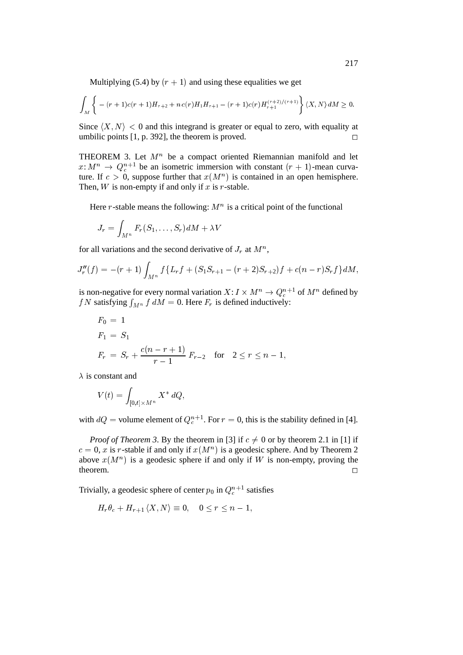Multiplying (5.4) by  $(r + 1)$  and using these equalities we get

$$
\int_M \left\{ -(r+1)c(r+1)H_{r+2} + n c(r)H_1 H_{r+1} - (r+1)c(r)H_{r+1}^{(r+2)/(r+1)} \right\} \langle X, N \rangle dM \ge 0.
$$

Since  $\langle X, N \rangle$  < 0 and this integrand is greater or equal to zero, with equality at umbilic points  $[1, p. 392]$ , the theorem is proved.

THEOREM 3. Let  $M^n$  be a compact oriented Riemannian manifold and let  $x: M^n \to Q_c^{n+1}$  be an isometric immersion with constant  $(r + 1)$ -mean curvature. If  $c > 0$ , suppose further that  $x(M^n)$  is contained in an open hemisphere. Then,  $W$  is non-empty if and only if  $x$  is  $r$ -stable.

Here r-stable means the following:  $M<sup>n</sup>$  is a critical point of the functional

$$
J_r=\int_{M^n} F_r(S_1,\ldots,S_r)dM+\lambda V
$$

for all variations and the second derivative of  $J_r$  at  $M^n$ ,

$$
J_r''(f)=-(r+1)\int_{M^n}f\{L_rf+(S_1S_{r+1}-(r+2)S_{r+2})f+c(n-r)S_rf\}dM,
$$

is non-negative for every normal variation  $X: I \times M^n \to Q_c^{n+1}$  of  $M^n$  defined by f N satisfying  $\int_{M^n} f dM = 0$ . Here  $F_r$  is defined inductively:

$$
F_0 = 1
$$
  
\n
$$
F_1 = S_1
$$
  
\n
$$
F_r = S_r + \frac{c(n - r + 1)}{r - 1} F_{r-2} \text{ for } 2 \le r \le n - 1,
$$

 $\lambda$  is constant and

$$
V(t)=\int_{[0,t]\times M^n}X^*\,dQ,
$$

with  $dQ$  = volume element of  $Q_c^{n+1}$ . For  $r = 0$ , this is the stability defined in [4].

*Proof of Theorem 3.* By the theorem in [3] if  $c \neq 0$  or by theorem 2.1 in [1] if  $c = 0$ , x is r-stable if and only if  $x(M^n)$  is a geodesic sphere. And by Theorem 2 above  $x(M^n)$  is a geodesic sphere if and only if W is non-empty, proving the theorem.  $\Box$ 

Trivially, a geodesic sphere of center  $p_0$  in  $Q_c^{n+1}$  satisfies

$$
H_r \theta_c + H_{r+1} \langle X, N \rangle \equiv 0, \quad 0 \le r \le n-1,
$$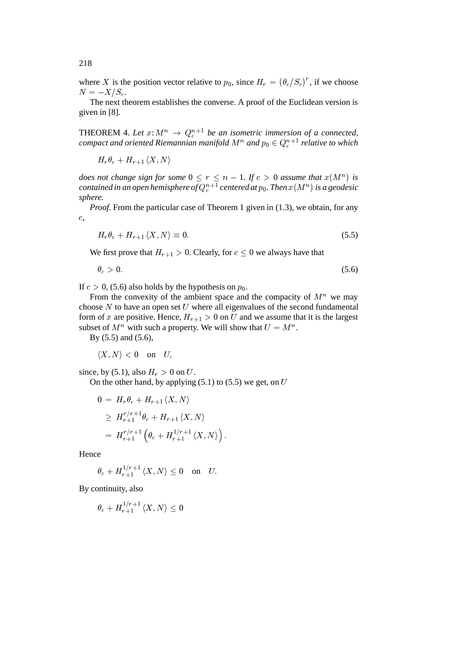where X is the position vector relative to  $p_0$ , since  $H_r = (\theta_c/S_c)^r$ , if we choose  $N = -X/S_c$ .

The next theorem establishes the converse. A proof of the Euclidean version is given in [8].

THEOREM 4. Let  $x: M^n \to Q_c^{n+1}$  be an isometric immersion of a connected,  $\emph{compact}$  and oriented Riemannian manifold  $M^n$  and  $p_0 \in Q^{n+1}_c$  relative to which

$$
H_r\theta_c+H_{r+1}\left
$$

*does not change sign for some*  $0 \le r \le n - 1$ . If  $c > 0$  assume that  $x(M^n)$  is contained in an open hemisphere of  $Q^{n+1}_{c}$  centered at  $p_{0}.$  Then  $x(M^{n})$  is a geodesic *sphere.*

*Proof.* From the particular case of Theorem 1 given in (1.3), we obtain, for any c,

$$
H_r \theta_c + H_{r+1} \langle X, N \rangle \equiv 0.
$$
 (5.5)  
We first prove that  $H_{r+1} > 0$ . Clearly, for  $c \le 0$  we always have that

$$
\theta_c > 0. \tag{5.6}
$$

If  $c > 0$ , (5.6) also holds by the hypothesis on  $p_0$ .

From the convexity of the ambient space and the compacity of  $M<sup>n</sup>$  we may choose  $N$  to have an open set  $U$  where all eigenvalues of the second fundamental form of x are positive. Hence,  $H_{r+1} > 0$  on U and we assume that it is the largest subset of  $M^n$  with such a property. We will show that  $U = M^n$ .

By (5.5) and (5.6),

 $\langle X, N \rangle < 0$  on U,

since, by (5.1), also  $H_r > 0$  on U.

On the other hand, by applying  $(5.1)$  to  $(5.5)$  we get, on U

$$
0 = H_r \theta_c + H_{r+1} \langle X, N \rangle
$$
  
\n
$$
\geq H_{r+1}^{r/r+1} \theta_c + H_{r+1} \langle X, N \rangle
$$
  
\n
$$
= H_{r+1}^{r/r+1} \left( \theta_c + H_{r+1}^{1/r+1} \langle X, N \rangle \right).
$$

Hence

$$
\theta_c + H_{r+1}^{1/r+1} \langle X, N \rangle \le 0 \quad \text{on} \quad U.
$$
  
intinuity, also

By continuity, also

$$
\theta_c + H_{r+1}^{1/r+1} \langle X, N \rangle \le 0
$$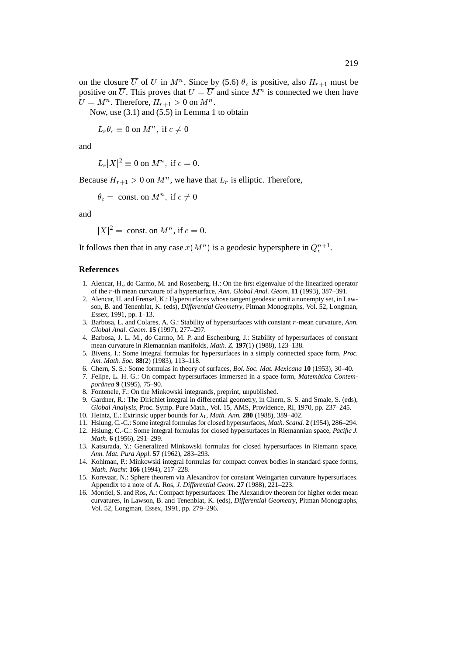on the closure  $\overline{U}$  of U in  $M^n$ . Since by (5.6)  $\theta_c$  is positive, also  $H_{r+1}$  must be positive on  $\overline{U}$ . This proves that  $U = \overline{U}$  and since  $M^n$  is connected we then have  $U = M^n$ . Therefore,  $H_{r+1} > 0$  on  $M^n$ .

Now, use (3.1) and (5.5) in Lemma 1 to obtain

 $L_r \theta_c \equiv 0$  on  $M^n$ , if  $c \neq 0$ 

and

 $L_r|X|^2 \equiv 0$  on  $M^n$ , if  $c = 0$ .

Because  $H_{r+1} > 0$  on  $M^n$ , we have that  $L_r$  is elliptic. Therefore,

 $\theta_c = \text{const.}$  on  $M^n$ , if  $c \neq 0$ 

and

 $|X|^2 = \text{const.}$  on  $M^n$ , if  $c = 0$ .

It follows then that in any case  $x(M^n)$  is a geodesic hypersphere in  $Q_c^{n+1}$ .

### **References**

- 1. Alencar, H., do Carmo, M. and Rosenberg, H.: On the first eigenvalue of the linearized operator of the <sup>r</sup>-th mean curvature of a hypersurface, *Ann. Global Anal. Geom.* **11** (1993), 387–391.
- 2. Alencar, H. and Frensel, K.: Hypersurfaces whose tangent geodesic omit a nonempty set, in Lawson, B. and Tenenblat, K. (eds), *Differential Geometry*, Pitman Monographs, Vol. 52, Longman, Essex, 1991, pp. 1–13.
- 3. Barbosa, L. and Colares, A. G.: Stability of hypersurfaces with constant <sup>r</sup>-mean curvature, *Ann. Global Anal. Geom.* **15** (1997), 277–297.
- 4. Barbosa, J. L. M., do Carmo, M. P. and Eschenburg, J.: Stability of hypersurfaces of constant mean curvature in Riemannian manifolds, *Math. Z.* **197**(1) (1988), 123–138.
- 5. Bivens, I.: Some integral formulas for hypersurfaces in a simply connected space form, *Proc. Am. Math. Soc.* **88**(2) (1983), 113–118.
- 6. Chern, S. S.: Some formulas in theory of surfaces, *Bol. Soc. Mat. Mexicana* **10** (1953), 30–40.
- 7. Felipe, L. H. G.: On compact hypersurfaces immersed in a space form, *Matematica Contem- ´ poranea ˆ* **9** (1995), 75–90.
- 8. Fontenele, F.: On the Minkowski integrands, preprint, unpublished.
- 9. Gardner, R.: The Dirichlet integral in differential geometry, in Chern, S. S. and Smale, S. (eds), *Global Analysis*, Proc. Symp. Pure Math., Vol. 15, AMS, Providence, RI, 1970, pp. 237–245.
- 10. Heintz, E.: Extrinsic upper bounds for  $\lambda_1$ , *Math. Ann.* **280** (1988), 389–402.
- 11. Hsiung, C.-C.: Some integral formulas for closed hypersurfaces, *Math. Scand.* **2** (1954), 286–294.
- 12. Hsiung, C.-C.: Some integral formulas for closed hypersurfaces in Riemannian space, *Pacific J. Math.* **6** (1956), 291–299.
- 13. Katsurada, Y.: Generalized Minkowski formulas for closed hypersurfaces in Riemann space, *Ann. Mat. Pura Appl.* **57** (1962), 283–293.
- 14. Kohlman, P.: Minkowski integral formulas for compact convex bodies in standard space forms, *Math. Nachr.* **166** (1994), 217–228.
- 15. Korevaar, N.: Sphere theorem via Alexandrov for constant Weingarten curvature hypersurfaces. Appendix to a note of A. Ros, *J. Differential Geom.* **27** (1988), 221–223.
- 16. Montiel, S. and Ros, A.: Compact hypersurfaces: The Alexandrov theorem for higher order mean curvatures, in Lawson, B. and Tenenblat, K. (eds), *Differential Geometry*, Pitman Monographs, Vol. 52, Longman, Essex, 1991, pp. 279–296.